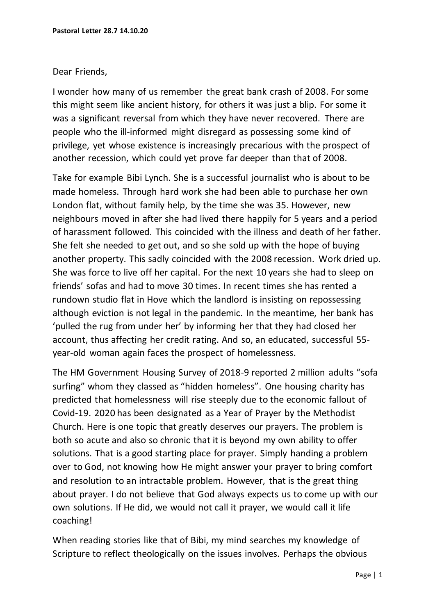## Dear Friends,

I wonder how many of us remember the great bank crash of 2008. For some this might seem like ancient history, for others it was just a blip. For some it was a significant reversal from which they have never recovered. There are people who the ill-informed might disregard as possessing some kind of privilege, yet whose existence is increasingly precarious with the prospect of another recession, which could yet prove far deeper than that of 2008.

Take for example Bibi Lynch. She is a successful journalist who is about to be made homeless. Through hard work she had been able to purchase her own London flat, without family help, by the time she was 35. However, new neighbours moved in after she had lived there happily for 5 years and a period of harassment followed. This coincided with the illness and death of her father. She felt she needed to get out, and so she sold up with the hope of buying another property. This sadly coincided with the 2008 recession. Work dried up. She was force to live off her capital. For the next 10 years she had to sleep on friends' sofas and had to move 30 times. In recent times she has rented a rundown studio flat in Hove which the landlord is insisting on repossessing although eviction is not legal in the pandemic. In the meantime, her bank has 'pulled the rug from under her' by informing her that they had closed her account, thus affecting her credit rating. And so, an educated, successful 55 year-old woman again faces the prospect of homelessness.

The HM Government Housing Survey of 2018-9 reported 2 million adults "sofa surfing" whom they classed as "hidden homeless". One housing charity has predicted that homelessness will rise steeply due to the economic fallout of Covid-19. 2020 has been designated as a Year of Prayer by the Methodist Church. Here is one topic that greatly deserves our prayers. The problem is both so acute and also so chronic that it is beyond my own ability to offer solutions. That is a good starting place for prayer. Simply handing a problem over to God, not knowing how He might answer your prayer to bring comfort and resolution to an intractable problem. However, that is the great thing about prayer. I do not believe that God always expects us to come up with our own solutions. If He did, we would not call it prayer, we would call it life coaching!

When reading stories like that of Bibi, my mind searches my knowledge of Scripture to reflect theologically on the issues involves. Perhaps the obvious